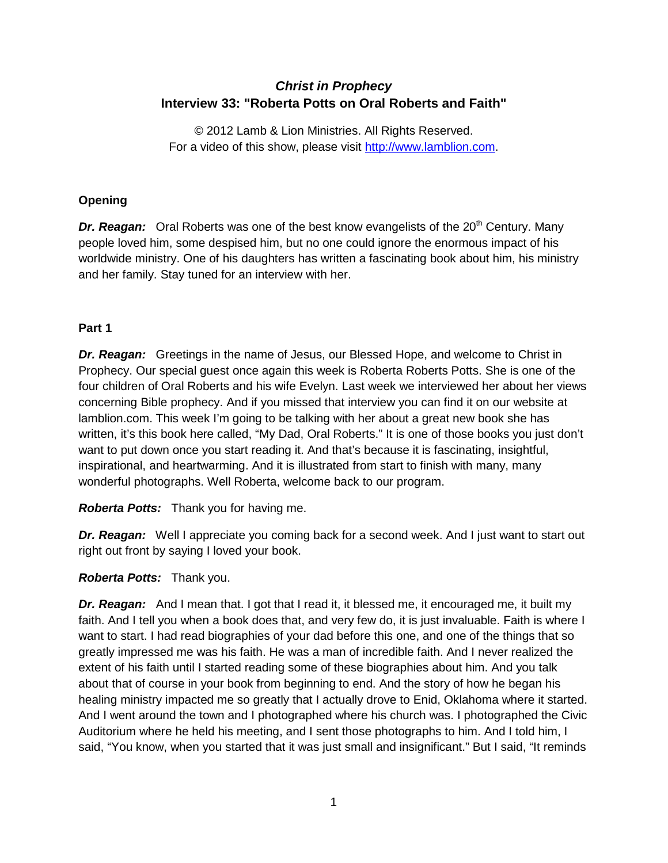# *Christ in Prophecy* **Interview 33: "Roberta Potts on Oral Roberts and Faith"**

© 2012 Lamb & Lion Ministries. All Rights Reserved. For a video of this show, please visit [http://www.lamblion.com.](http://www.lamblion.com/)

# **Opening**

**Dr. Reagan:** Oral Roberts was one of the best know evangelists of the 20<sup>th</sup> Century. Many people loved him, some despised him, but no one could ignore the enormous impact of his worldwide ministry. One of his daughters has written a fascinating book about him, his ministry and her family. Stay tuned for an interview with her.

# **Part 1**

*Dr. Reagan:* Greetings in the name of Jesus, our Blessed Hope, and welcome to Christ in Prophecy. Our special guest once again this week is Roberta Roberts Potts. She is one of the four children of Oral Roberts and his wife Evelyn. Last week we interviewed her about her views concerning Bible prophecy. And if you missed that interview you can find it on our website at lamblion.com. This week I'm going to be talking with her about a great new book she has written, it's this book here called, "My Dad, Oral Roberts." It is one of those books you just don't want to put down once you start reading it. And that's because it is fascinating, insightful, inspirational, and heartwarming. And it is illustrated from start to finish with many, many wonderful photographs. Well Roberta, welcome back to our program.

*Roberta Potts:* Thank you for having me.

*Dr. Reagan:* Well I appreciate you coming back for a second week. And I just want to start out right out front by saying I loved your book.

# *Roberta Potts:* Thank you.

*Dr. Reagan:* And I mean that. I got that I read it, it blessed me, it encouraged me, it built my faith. And I tell you when a book does that, and very few do, it is just invaluable. Faith is where I want to start. I had read biographies of your dad before this one, and one of the things that so greatly impressed me was his faith. He was a man of incredible faith. And I never realized the extent of his faith until I started reading some of these biographies about him. And you talk about that of course in your book from beginning to end. And the story of how he began his healing ministry impacted me so greatly that I actually drove to Enid, Oklahoma where it started. And I went around the town and I photographed where his church was. I photographed the Civic Auditorium where he held his meeting, and I sent those photographs to him. And I told him, I said, "You know, when you started that it was just small and insignificant." But I said, "It reminds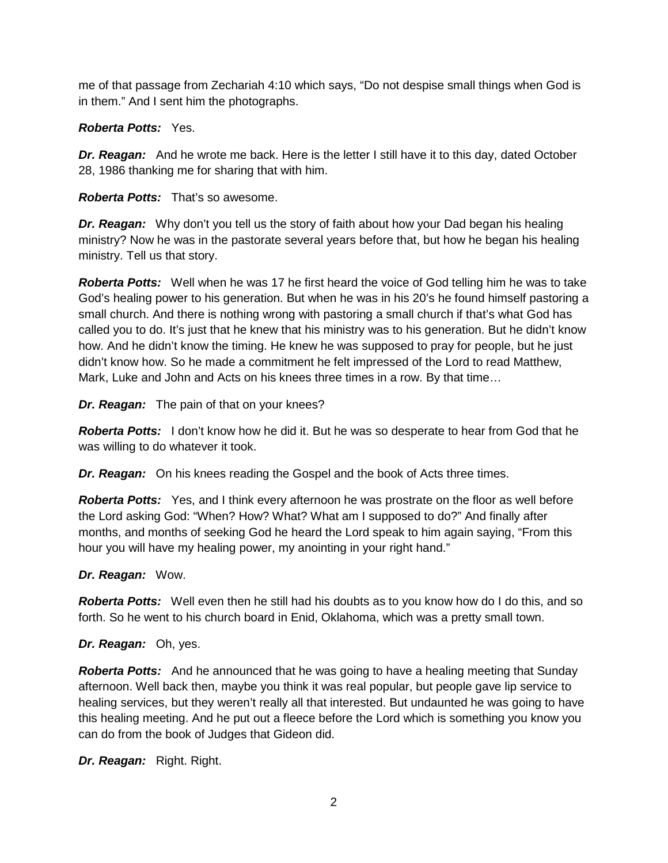me of that passage from Zechariah 4:10 which says, "Do not despise small things when God is in them." And I sent him the photographs.

## *Roberta Potts:* Yes.

*Dr. Reagan:* And he wrote me back. Here is the letter I still have it to this day, dated October 28, 1986 thanking me for sharing that with him.

*Roberta Potts:* That's so awesome.

*Dr. Reagan:* Why don't you tell us the story of faith about how your Dad began his healing ministry? Now he was in the pastorate several years before that, but how he began his healing ministry. Tell us that story.

*Roberta Potts:* Well when he was 17 he first heard the voice of God telling him he was to take God's healing power to his generation. But when he was in his 20's he found himself pastoring a small church. And there is nothing wrong with pastoring a small church if that's what God has called you to do. It's just that he knew that his ministry was to his generation. But he didn't know how. And he didn't know the timing. He knew he was supposed to pray for people, but he just didn't know how. So he made a commitment he felt impressed of the Lord to read Matthew, Mark, Luke and John and Acts on his knees three times in a row. By that time…

*Dr. Reagan:* The pain of that on your knees?

*Roberta Potts:* I don't know how he did it. But he was so desperate to hear from God that he was willing to do whatever it took.

*Dr. Reagan:* On his knees reading the Gospel and the book of Acts three times.

*Roberta Potts:* Yes, and I think every afternoon he was prostrate on the floor as well before the Lord asking God: "When? How? What? What am I supposed to do?" And finally after months, and months of seeking God he heard the Lord speak to him again saying, "From this hour you will have my healing power, my anointing in your right hand."

#### *Dr. Reagan:* Wow.

*Roberta Potts:* Well even then he still had his doubts as to you know how do I do this, and so forth. So he went to his church board in Enid, Oklahoma, which was a pretty small town.

#### *Dr. Reagan:* Oh, yes.

*Roberta Potts:* And he announced that he was going to have a healing meeting that Sunday afternoon. Well back then, maybe you think it was real popular, but people gave lip service to healing services, but they weren't really all that interested. But undaunted he was going to have this healing meeting. And he put out a fleece before the Lord which is something you know you can do from the book of Judges that Gideon did.

*Dr. Reagan:* Right. Right.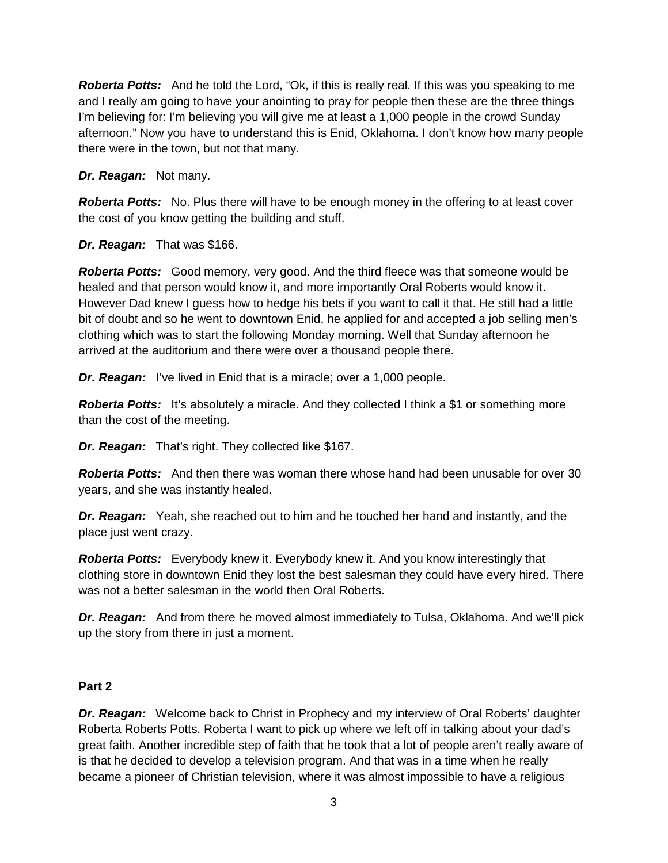*Roberta Potts:* And he told the Lord, "Ok, if this is really real. If this was you speaking to me and I really am going to have your anointing to pray for people then these are the three things I'm believing for: I'm believing you will give me at least a 1,000 people in the crowd Sunday afternoon." Now you have to understand this is Enid, Oklahoma. I don't know how many people there were in the town, but not that many.

## *Dr. Reagan:* Not many.

**Roberta Potts:** No. Plus there will have to be enough money in the offering to at least cover the cost of you know getting the building and stuff.

## *Dr. Reagan:* That was \$166.

*Roberta Potts:* Good memory, very good. And the third fleece was that someone would be healed and that person would know it, and more importantly Oral Roberts would know it. However Dad knew I guess how to hedge his bets if you want to call it that. He still had a little bit of doubt and so he went to downtown Enid, he applied for and accepted a job selling men's clothing which was to start the following Monday morning. Well that Sunday afternoon he arrived at the auditorium and there were over a thousand people there.

*Dr. Reagan:* I've lived in Enid that is a miracle; over a 1,000 people.

**Roberta Potts:** It's absolutely a miracle. And they collected I think a \$1 or something more than the cost of the meeting.

*Dr. Reagan:* That's right. They collected like \$167.

*Roberta Potts:* And then there was woman there whose hand had been unusable for over 30 years, and she was instantly healed.

*Dr. Reagan:* Yeah, she reached out to him and he touched her hand and instantly, and the place just went crazy.

*Roberta Potts:* Everybody knew it. Everybody knew it. And you know interestingly that clothing store in downtown Enid they lost the best salesman they could have every hired. There was not a better salesman in the world then Oral Roberts.

*Dr. Reagan:* And from there he moved almost immediately to Tulsa, Oklahoma. And we'll pick up the story from there in just a moment.

#### **Part 2**

*Dr. Reagan:* Welcome back to Christ in Prophecy and my interview of Oral Roberts' daughter Roberta Roberts Potts. Roberta I want to pick up where we left off in talking about your dad's great faith. Another incredible step of faith that he took that a lot of people aren't really aware of is that he decided to develop a television program. And that was in a time when he really became a pioneer of Christian television, where it was almost impossible to have a religious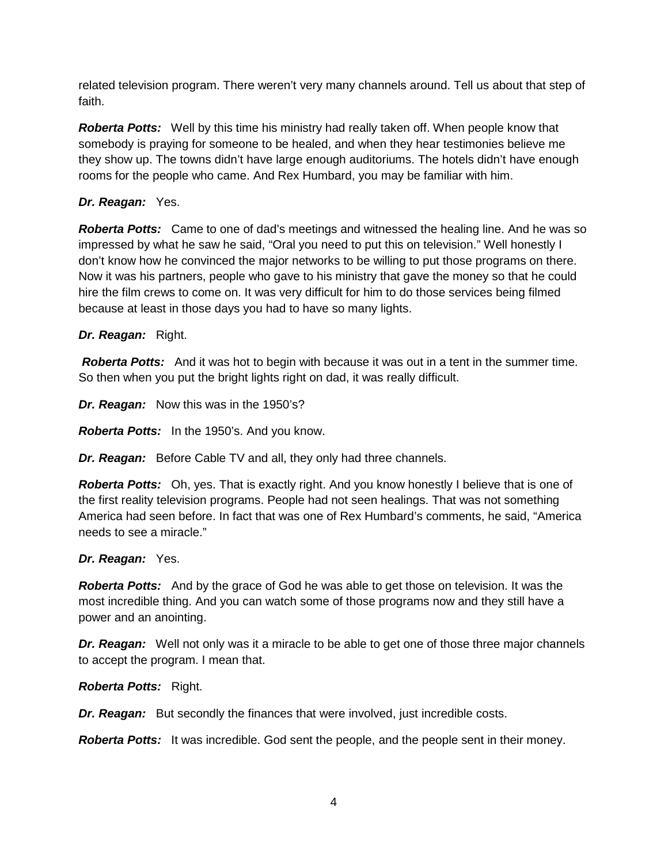related television program. There weren't very many channels around. Tell us about that step of faith.

*Roberta Potts:* Well by this time his ministry had really taken off. When people know that somebody is praying for someone to be healed, and when they hear testimonies believe me they show up. The towns didn't have large enough auditoriums. The hotels didn't have enough rooms for the people who came. And Rex Humbard, you may be familiar with him.

## *Dr. Reagan:* Yes.

*Roberta Potts:* Came to one of dad's meetings and witnessed the healing line. And he was so impressed by what he saw he said, "Oral you need to put this on television." Well honestly I don't know how he convinced the major networks to be willing to put those programs on there. Now it was his partners, people who gave to his ministry that gave the money so that he could hire the film crews to come on. It was very difficult for him to do those services being filmed because at least in those days you had to have so many lights.

#### *Dr. Reagan:* Right.

*Roberta Potts:* And it was hot to begin with because it was out in a tent in the summer time. So then when you put the bright lights right on dad, it was really difficult.

*Dr. Reagan:* Now this was in the 1950's?

*Roberta Potts:* In the 1950's. And you know.

*Dr. Reagan:* Before Cable TV and all, they only had three channels.

**Roberta Potts:** Oh, yes. That is exactly right. And you know honestly I believe that is one of the first reality television programs. People had not seen healings. That was not something America had seen before. In fact that was one of Rex Humbard's comments, he said, "America needs to see a miracle."

#### *Dr. Reagan:* Yes.

*Roberta Potts:* And by the grace of God he was able to get those on television. It was the most incredible thing. And you can watch some of those programs now and they still have a power and an anointing.

*Dr. Reagan:* Well not only was it a miracle to be able to get one of those three major channels to accept the program. I mean that.

*Roberta Potts:* Right.

*Dr. Reagan:* But secondly the finances that were involved, just incredible costs.

*Roberta Potts:* It was incredible. God sent the people, and the people sent in their money.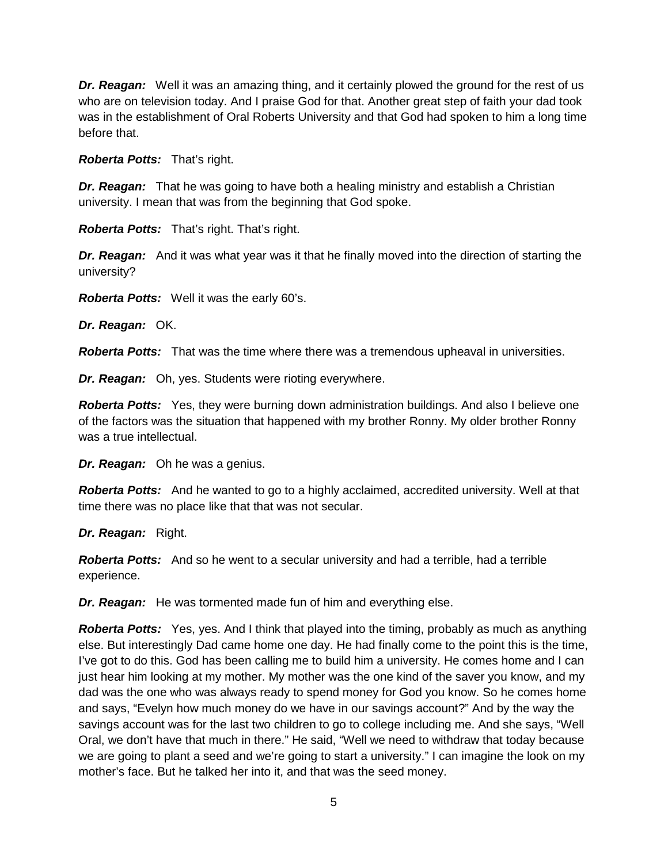*Dr. Reagan:* Well it was an amazing thing, and it certainly plowed the ground for the rest of us who are on television today. And I praise God for that. Another great step of faith your dad took was in the establishment of Oral Roberts University and that God had spoken to him a long time before that.

*Roberta Potts:* That's right.

*Dr. Reagan:* That he was going to have both a healing ministry and establish a Christian university. I mean that was from the beginning that God spoke.

*Roberta Potts:* That's right. That's right.

*Dr. Reagan:* And it was what year was it that he finally moved into the direction of starting the university?

*Roberta Potts:* Well it was the early 60's.

*Dr. Reagan:* OK.

*Roberta Potts:* That was the time where there was a tremendous upheaval in universities.

*Dr. Reagan:* Oh, yes. Students were rioting everywhere.

*Roberta Potts:* Yes, they were burning down administration buildings. And also I believe one of the factors was the situation that happened with my brother Ronny. My older brother Ronny was a true intellectual.

*Dr. Reagan:* Oh he was a genius.

*Roberta Potts:* And he wanted to go to a highly acclaimed, accredited university. Well at that time there was no place like that that was not secular.

*Dr. Reagan:* Right.

*Roberta Potts:* And so he went to a secular university and had a terrible, had a terrible experience.

*Dr. Reagan:* He was tormented made fun of him and everything else.

*Roberta Potts:* Yes, yes. And I think that played into the timing, probably as much as anything else. But interestingly Dad came home one day. He had finally come to the point this is the time, I've got to do this. God has been calling me to build him a university. He comes home and I can just hear him looking at my mother. My mother was the one kind of the saver you know, and my dad was the one who was always ready to spend money for God you know. So he comes home and says, "Evelyn how much money do we have in our savings account?" And by the way the savings account was for the last two children to go to college including me. And she says, "Well Oral, we don't have that much in there." He said, "Well we need to withdraw that today because we are going to plant a seed and we're going to start a university." I can imagine the look on my mother's face. But he talked her into it, and that was the seed money.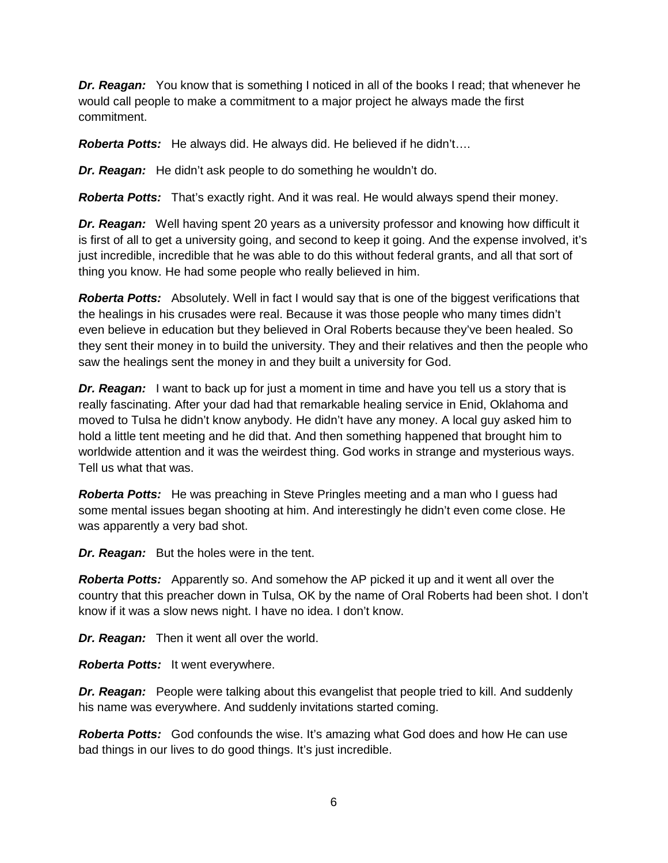**Dr. Reagan:** You know that is something I noticed in all of the books I read; that whenever he would call people to make a commitment to a major project he always made the first commitment.

*Roberta Potts:* He always did. He always did. He believed if he didn't….

*Dr. Reagan:* He didn't ask people to do something he wouldn't do.

*Roberta Potts:* That's exactly right. And it was real. He would always spend their money.

*Dr. Reagan:* Well having spent 20 years as a university professor and knowing how difficult it is first of all to get a university going, and second to keep it going. And the expense involved, it's just incredible, incredible that he was able to do this without federal grants, and all that sort of thing you know. He had some people who really believed in him.

*Roberta Potts:* Absolutely. Well in fact I would say that is one of the biggest verifications that the healings in his crusades were real. Because it was those people who many times didn't even believe in education but they believed in Oral Roberts because they've been healed. So they sent their money in to build the university. They and their relatives and then the people who saw the healings sent the money in and they built a university for God.

*Dr. Reagan:* I want to back up for just a moment in time and have you tell us a story that is really fascinating. After your dad had that remarkable healing service in Enid, Oklahoma and moved to Tulsa he didn't know anybody. He didn't have any money. A local guy asked him to hold a little tent meeting and he did that. And then something happened that brought him to worldwide attention and it was the weirdest thing. God works in strange and mysterious ways. Tell us what that was.

*Roberta Potts:* He was preaching in Steve Pringles meeting and a man who I guess had some mental issues began shooting at him. And interestingly he didn't even come close. He was apparently a very bad shot.

*Dr. Reagan:* But the holes were in the tent.

*Roberta Potts:* Apparently so. And somehow the AP picked it up and it went all over the country that this preacher down in Tulsa, OK by the name of Oral Roberts had been shot. I don't know if it was a slow news night. I have no idea. I don't know.

*Dr. Reagan:* Then it went all over the world.

*Roberta Potts:* It went everywhere.

*Dr. Reagan:* People were talking about this evangelist that people tried to kill. And suddenly his name was everywhere. And suddenly invitations started coming.

*Roberta Potts:* God confounds the wise. It's amazing what God does and how He can use bad things in our lives to do good things. It's just incredible.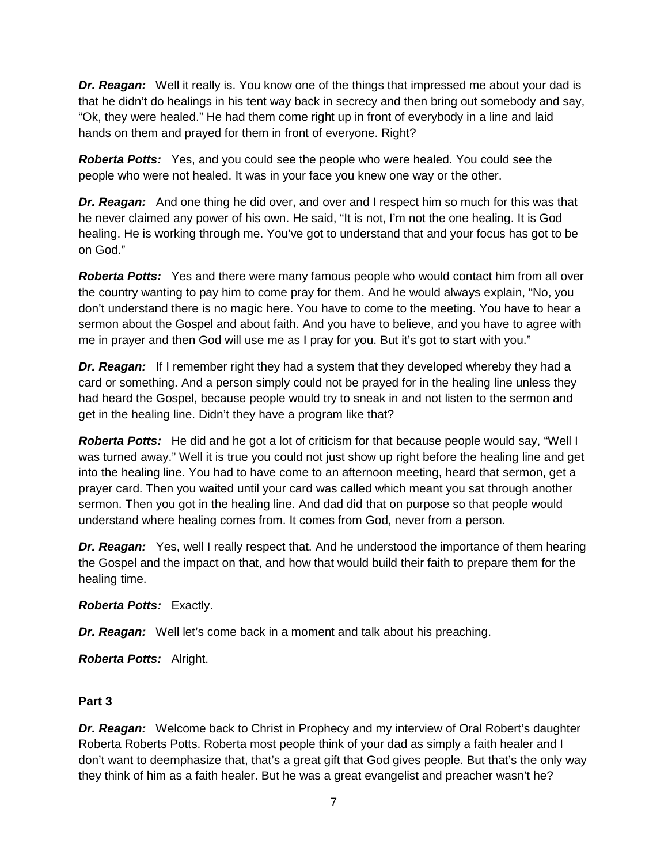*Dr. Reagan:* Well it really is. You know one of the things that impressed me about your dad is that he didn't do healings in his tent way back in secrecy and then bring out somebody and say, "Ok, they were healed." He had them come right up in front of everybody in a line and laid hands on them and prayed for them in front of everyone. Right?

*Roberta Potts:* Yes, and you could see the people who were healed. You could see the people who were not healed. It was in your face you knew one way or the other.

*Dr. Reagan:* And one thing he did over, and over and I respect him so much for this was that he never claimed any power of his own. He said, "It is not, I'm not the one healing. It is God healing. He is working through me. You've got to understand that and your focus has got to be on God."

*Roberta Potts:* Yes and there were many famous people who would contact him from all over the country wanting to pay him to come pray for them. And he would always explain, "No, you don't understand there is no magic here. You have to come to the meeting. You have to hear a sermon about the Gospel and about faith. And you have to believe, and you have to agree with me in prayer and then God will use me as I pray for you. But it's got to start with you."

*Dr. Reagan:* If I remember right they had a system that they developed whereby they had a card or something. And a person simply could not be prayed for in the healing line unless they had heard the Gospel, because people would try to sneak in and not listen to the sermon and get in the healing line. Didn't they have a program like that?

*Roberta Potts:* He did and he got a lot of criticism for that because people would say, "Well I was turned away." Well it is true you could not just show up right before the healing line and get into the healing line. You had to have come to an afternoon meeting, heard that sermon, get a prayer card. Then you waited until your card was called which meant you sat through another sermon. Then you got in the healing line. And dad did that on purpose so that people would understand where healing comes from. It comes from God, never from a person.

*Dr. Reagan:* Yes, well I really respect that. And he understood the importance of them hearing the Gospel and the impact on that, and how that would build their faith to prepare them for the healing time.

# *Roberta Potts:* Exactly.

*Dr. Reagan:* Well let's come back in a moment and talk about his preaching.

*Roberta Potts:* Alright.

#### **Part 3**

*Dr. Reagan:* Welcome back to Christ in Prophecy and my interview of Oral Robert's daughter Roberta Roberts Potts. Roberta most people think of your dad as simply a faith healer and I don't want to deemphasize that, that's a great gift that God gives people. But that's the only way they think of him as a faith healer. But he was a great evangelist and preacher wasn't he?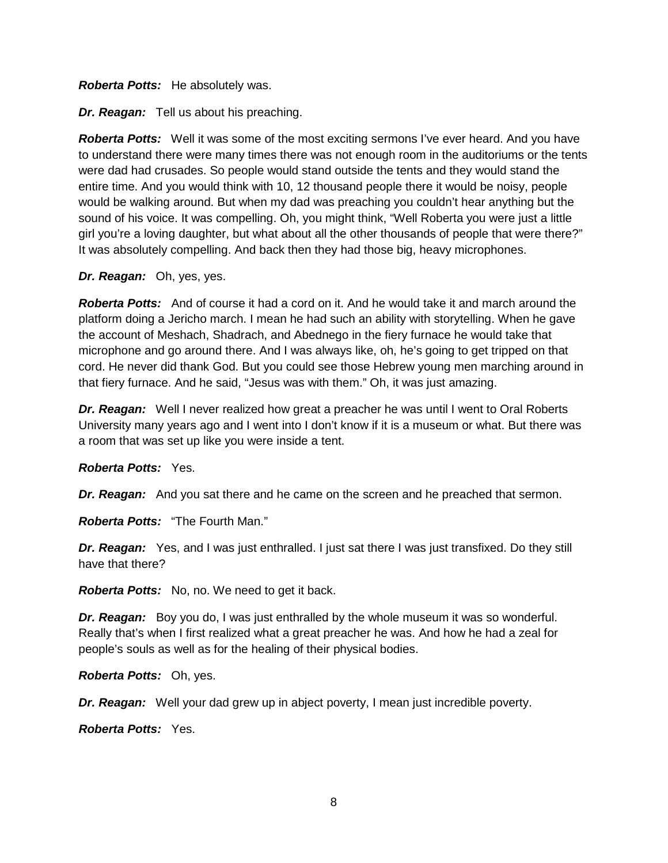#### *Roberta Potts:* He absolutely was.

*Dr. Reagan:* Tell us about his preaching.

*Roberta Potts:* Well it was some of the most exciting sermons I've ever heard. And you have to understand there were many times there was not enough room in the auditoriums or the tents were dad had crusades. So people would stand outside the tents and they would stand the entire time. And you would think with 10, 12 thousand people there it would be noisy, people would be walking around. But when my dad was preaching you couldn't hear anything but the sound of his voice. It was compelling. Oh, you might think, "Well Roberta you were just a little girl you're a loving daughter, but what about all the other thousands of people that were there?" It was absolutely compelling. And back then they had those big, heavy microphones.

#### *Dr. Reagan:* Oh, yes, yes.

*Roberta Potts:* And of course it had a cord on it. And he would take it and march around the platform doing a Jericho march. I mean he had such an ability with storytelling. When he gave the account of Meshach, Shadrach, and Abednego in the fiery furnace he would take that microphone and go around there. And I was always like, oh, he's going to get tripped on that cord. He never did thank God. But you could see those Hebrew young men marching around in that fiery furnace. And he said, "Jesus was with them." Oh, it was just amazing.

*Dr. Reagan:* Well I never realized how great a preacher he was until I went to Oral Roberts University many years ago and I went into I don't know if it is a museum or what. But there was a room that was set up like you were inside a tent.

#### *Roberta Potts:* Yes.

*Dr. Reagan:* And you sat there and he came on the screen and he preached that sermon.

*Roberta Potts:* "The Fourth Man."

*Dr. Reagan:* Yes, and I was just enthralled. I just sat there I was just transfixed. Do they still have that there?

*Roberta Potts:* No, no. We need to get it back.

*Dr. Reagan:* Boy you do, I was just enthralled by the whole museum it was so wonderful. Really that's when I first realized what a great preacher he was. And how he had a zeal for people's souls as well as for the healing of their physical bodies.

*Roberta Potts:* Oh, yes.

*Dr. Reagan:* Well your dad grew up in abject poverty, I mean just incredible poverty.

*Roberta Potts:* Yes.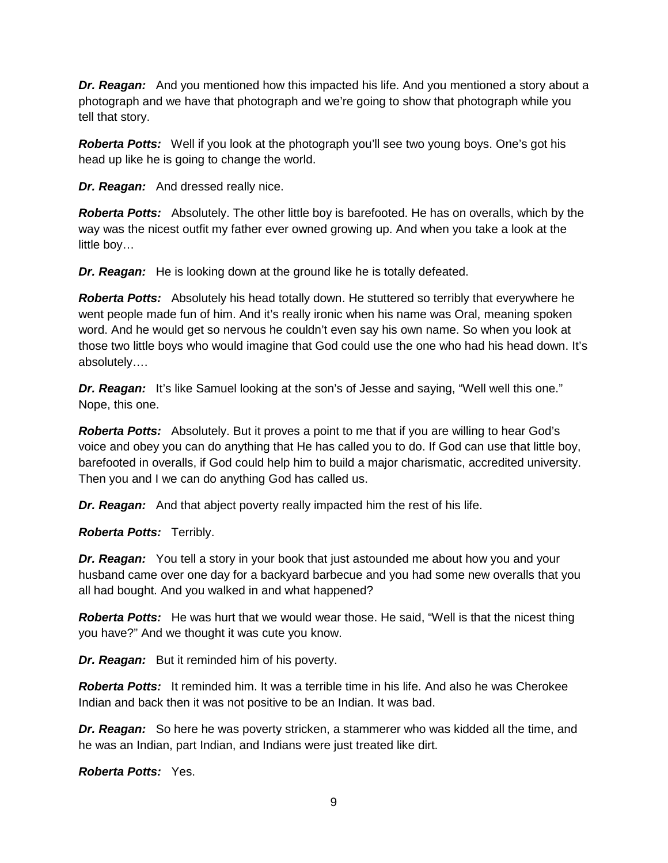**Dr. Reagan:** And you mentioned how this impacted his life. And you mentioned a story about a photograph and we have that photograph and we're going to show that photograph while you tell that story.

**Roberta Potts:** Well if you look at the photograph you'll see two young boys. One's got his head up like he is going to change the world.

*Dr. Reagan:* And dressed really nice.

*Roberta Potts:* Absolutely. The other little boy is barefooted. He has on overalls, which by the way was the nicest outfit my father ever owned growing up. And when you take a look at the little boy…

*Dr. Reagan:* He is looking down at the ground like he is totally defeated.

**Roberta Potts:** Absolutely his head totally down. He stuttered so terribly that everywhere he went people made fun of him. And it's really ironic when his name was Oral, meaning spoken word. And he would get so nervous he couldn't even say his own name. So when you look at those two little boys who would imagine that God could use the one who had his head down. It's absolutely….

**Dr. Reagan:** It's like Samuel looking at the son's of Jesse and saying, "Well well this one." Nope, this one.

*Roberta Potts:* Absolutely. But it proves a point to me that if you are willing to hear God's voice and obey you can do anything that He has called you to do. If God can use that little boy, barefooted in overalls, if God could help him to build a major charismatic, accredited university. Then you and I we can do anything God has called us.

*Dr. Reagan:* And that abject poverty really impacted him the rest of his life.

*Roberta Potts:* Terribly.

*Dr. Reagan:* You tell a story in your book that just astounded me about how you and your husband came over one day for a backyard barbecue and you had some new overalls that you all had bought. And you walked in and what happened?

*Roberta Potts:* He was hurt that we would wear those. He said, "Well is that the nicest thing you have?" And we thought it was cute you know.

*Dr. Reagan:* But it reminded him of his poverty.

*Roberta Potts:* It reminded him. It was a terrible time in his life. And also he was Cherokee Indian and back then it was not positive to be an Indian. It was bad.

*Dr. Reagan:* So here he was poverty stricken, a stammerer who was kidded all the time, and he was an Indian, part Indian, and Indians were just treated like dirt.

*Roberta Potts:* Yes.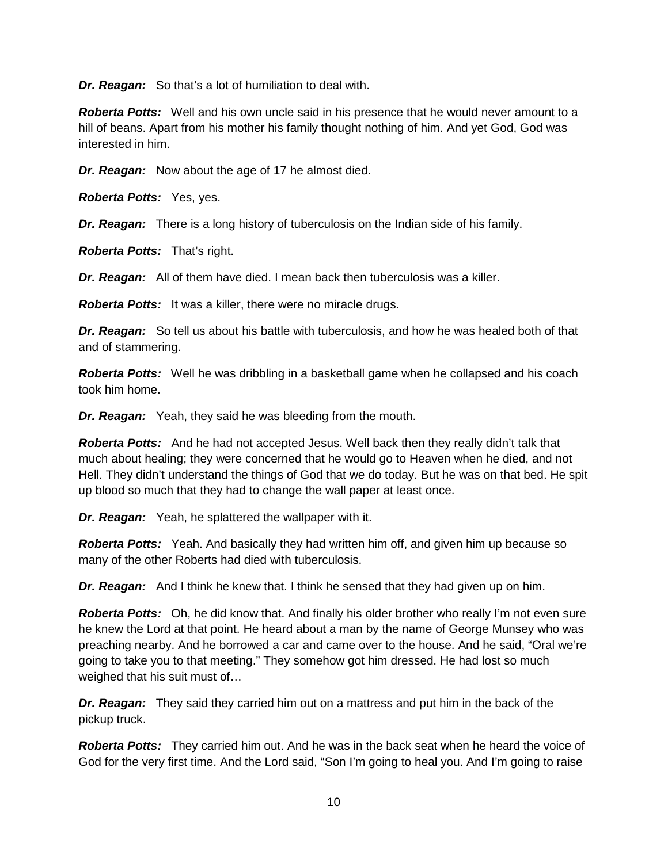*Dr. Reagan:* So that's a lot of humiliation to deal with.

*Roberta Potts:* Well and his own uncle said in his presence that he would never amount to a hill of beans. Apart from his mother his family thought nothing of him. And yet God, God was interested in him.

*Dr. Reagan:* Now about the age of 17 he almost died.

*Roberta Potts:* Yes, yes.

*Dr. Reagan:* There is a long history of tuberculosis on the Indian side of his family.

*Roberta Potts:* That's right.

*Dr. Reagan:* All of them have died. I mean back then tuberculosis was a killer.

*Roberta Potts:* It was a killer, there were no miracle drugs.

*Dr. Reagan:* So tell us about his battle with tuberculosis, and how he was healed both of that and of stammering.

*Roberta Potts:* Well he was dribbling in a basketball game when he collapsed and his coach took him home.

*Dr. Reagan:* Yeah, they said he was bleeding from the mouth.

*Roberta Potts:* And he had not accepted Jesus. Well back then they really didn't talk that much about healing; they were concerned that he would go to Heaven when he died, and not Hell. They didn't understand the things of God that we do today. But he was on that bed. He spit up blood so much that they had to change the wall paper at least once.

*Dr. Reagan:* Yeah, he splattered the wallpaper with it.

*Roberta Potts:* Yeah. And basically they had written him off, and given him up because so many of the other Roberts had died with tuberculosis.

*Dr. Reagan:* And I think he knew that. I think he sensed that they had given up on him.

**Roberta Potts:** Oh, he did know that. And finally his older brother who really I'm not even sure he knew the Lord at that point. He heard about a man by the name of George Munsey who was preaching nearby. And he borrowed a car and came over to the house. And he said, "Oral we're going to take you to that meeting." They somehow got him dressed. He had lost so much weighed that his suit must of…

*Dr. Reagan:* They said they carried him out on a mattress and put him in the back of the pickup truck.

*Roberta Potts:* They carried him out. And he was in the back seat when he heard the voice of God for the very first time. And the Lord said, "Son I'm going to heal you. And I'm going to raise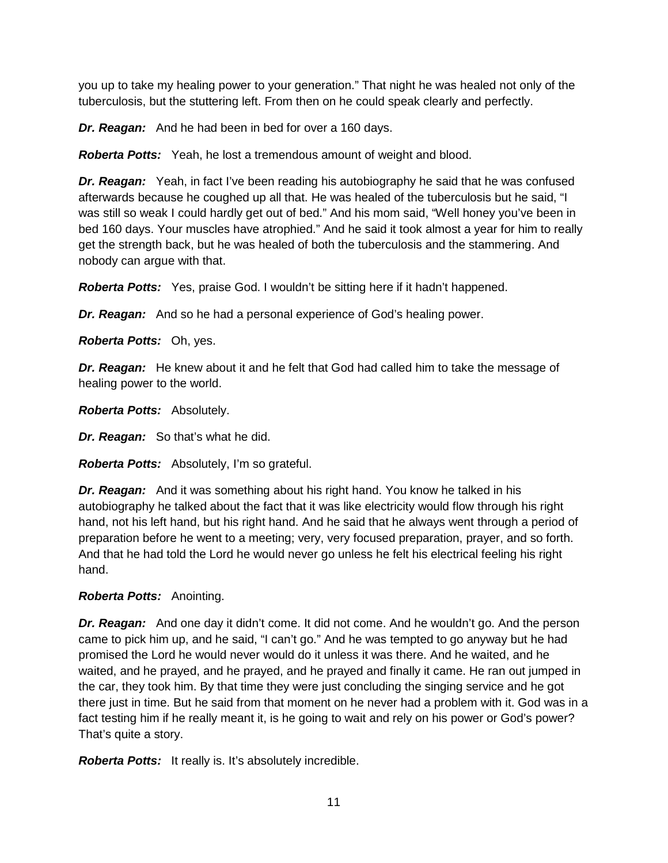you up to take my healing power to your generation." That night he was healed not only of the tuberculosis, but the stuttering left. From then on he could speak clearly and perfectly.

*Dr. Reagan:* And he had been in bed for over a 160 days.

*Roberta Potts:* Yeah, he lost a tremendous amount of weight and blood.

*Dr. Reagan:* Yeah, in fact I've been reading his autobiography he said that he was confused afterwards because he coughed up all that. He was healed of the tuberculosis but he said, "I was still so weak I could hardly get out of bed." And his mom said, "Well honey you've been in bed 160 days. Your muscles have atrophied." And he said it took almost a year for him to really get the strength back, but he was healed of both the tuberculosis and the stammering. And nobody can argue with that.

*Roberta Potts:* Yes, praise God. I wouldn't be sitting here if it hadn't happened.

*Dr. Reagan:* And so he had a personal experience of God's healing power.

*Roberta Potts:* Oh, yes.

*Dr. Reagan:* He knew about it and he felt that God had called him to take the message of healing power to the world.

*Roberta Potts:* Absolutely.

*Dr. Reagan:* So that's what he did.

*Roberta Potts:* Absolutely, I'm so grateful.

*Dr. Reagan:* And it was something about his right hand. You know he talked in his autobiography he talked about the fact that it was like electricity would flow through his right hand, not his left hand, but his right hand. And he said that he always went through a period of preparation before he went to a meeting; very, very focused preparation, prayer, and so forth. And that he had told the Lord he would never go unless he felt his electrical feeling his right hand.

# *Roberta Potts:* Anointing.

*Dr. Reagan:* And one day it didn't come. It did not come. And he wouldn't go. And the person came to pick him up, and he said, "I can't go." And he was tempted to go anyway but he had promised the Lord he would never would do it unless it was there. And he waited, and he waited, and he prayed, and he prayed, and he prayed and finally it came. He ran out jumped in the car, they took him. By that time they were just concluding the singing service and he got there just in time. But he said from that moment on he never had a problem with it. God was in a fact testing him if he really meant it, is he going to wait and rely on his power or God's power? That's quite a story.

*Roberta Potts:* It really is. It's absolutely incredible.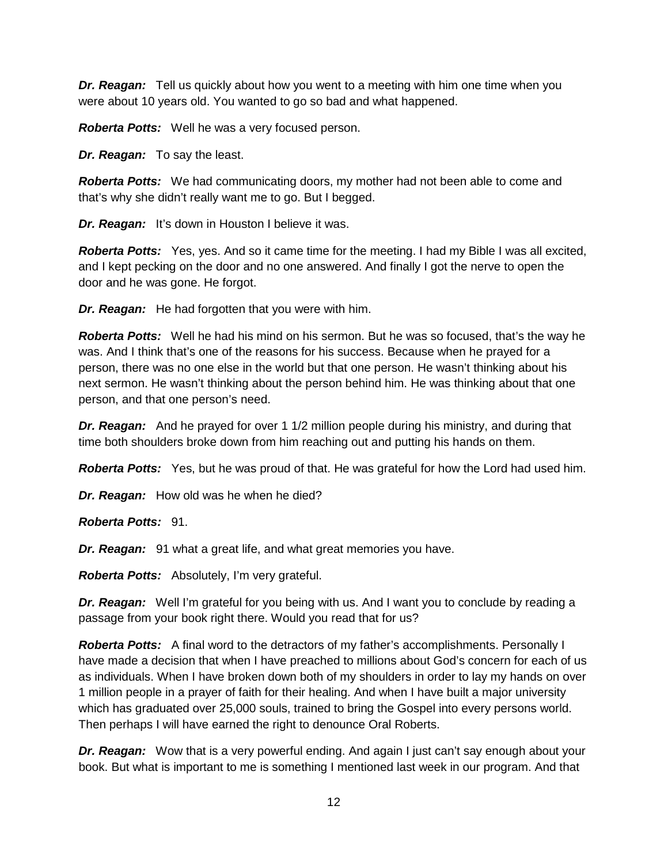*Dr. Reagan:* Tell us quickly about how you went to a meeting with him one time when you were about 10 years old. You wanted to go so bad and what happened.

*Roberta Potts:* Well he was a very focused person.

*Dr. Reagan:* To say the least.

*Roberta Potts:* We had communicating doors, my mother had not been able to come and that's why she didn't really want me to go. But I begged.

*Dr. Reagan:* It's down in Houston I believe it was.

*Roberta Potts:* Yes, yes. And so it came time for the meeting. I had my Bible I was all excited, and I kept pecking on the door and no one answered. And finally I got the nerve to open the door and he was gone. He forgot.

*Dr. Reagan:* He had forgotten that you were with him.

*Roberta Potts:* Well he had his mind on his sermon. But he was so focused, that's the way he was. And I think that's one of the reasons for his success. Because when he prayed for a person, there was no one else in the world but that one person. He wasn't thinking about his next sermon. He wasn't thinking about the person behind him. He was thinking about that one person, and that one person's need.

**Dr. Reagan:** And he prayed for over 1 1/2 million people during his ministry, and during that time both shoulders broke down from him reaching out and putting his hands on them.

*Roberta Potts:* Yes, but he was proud of that. He was grateful for how the Lord had used him.

*Dr. Reagan:* How old was he when he died?

*Roberta Potts:* 91.

*Dr. Reagan:* 91 what a great life, and what great memories you have.

*Roberta Potts:* Absolutely, I'm very grateful.

*Dr. Reagan:* Well I'm grateful for you being with us. And I want you to conclude by reading a passage from your book right there. Would you read that for us?

**Roberta Potts:** A final word to the detractors of my father's accomplishments. Personally I have made a decision that when I have preached to millions about God's concern for each of us as individuals. When I have broken down both of my shoulders in order to lay my hands on over 1 million people in a prayer of faith for their healing. And when I have built a major university which has graduated over 25,000 souls, trained to bring the Gospel into every persons world. Then perhaps I will have earned the right to denounce Oral Roberts.

*Dr. Reagan:* Wow that is a very powerful ending. And again I just can't say enough about your book. But what is important to me is something I mentioned last week in our program. And that